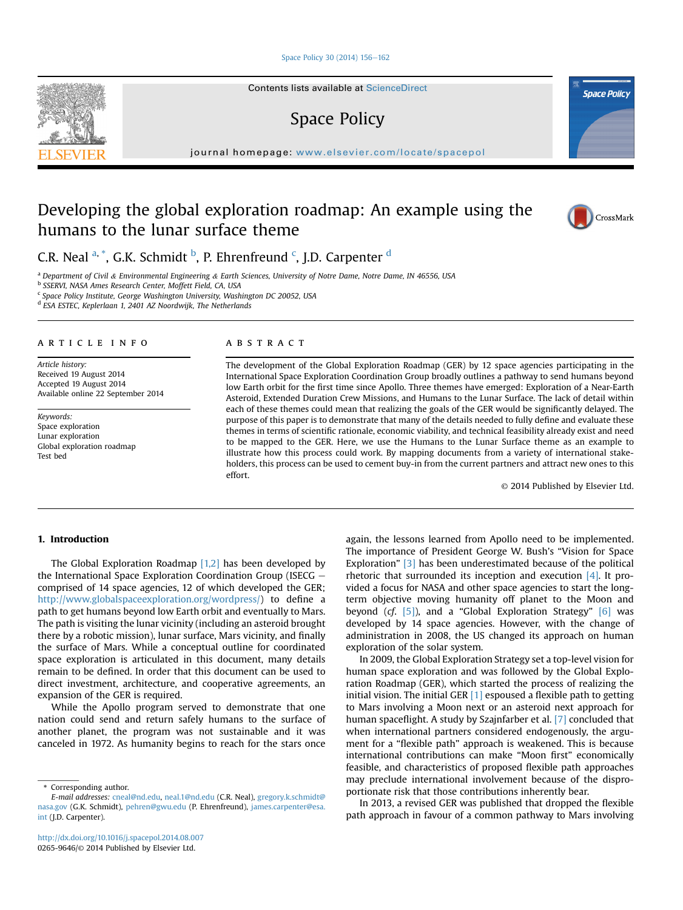#### [Space Policy 30 \(2014\) 156](http://dx.doi.org/10.1016/j.spacepol.2014.08.007)-[162](http://dx.doi.org/10.1016/j.spacepol.2014.08.007)

Contents lists available at ScienceDirect

Space Policy

journal homepage: [www.elsevier.com/locate/spacepol](http://www.elsevier.com/locate/spacepol)

# Developing the global exploration roadmap: An example using the humans to the lunar surface theme



**Space Policy** 

C.R. Neal <sup>a, \*</sup>, G.K. Schmidt <sup>b</sup>, P. Ehrenfreund <sup>c</sup>, J.D. Carpenter <sup>d</sup>

<sup>a</sup> Department of Civil & Environmental Engineering & Earth Sciences, University of Notre Dame, Notre Dame, IN 46556, USA

**b SSERVI, NASA Ames Research Center, Moffett Field, CA, USA** 

<sup>c</sup> Space Policy Institute, George Washington University, Washington DC 20052, USA

<sup>d</sup> ESA ESTEC, Keplerlaan 1, 2401 AZ Noordwijk, The Netherlands

#### article info

Article history: Received 19 August 2014 Accepted 19 August 2014 Available online 22 September 2014

Keywords: Space exploration Lunar exploration Global exploration roadmap Test bed

# ABSTRACT

The development of the Global Exploration Roadmap (GER) by 12 space agencies participating in the International Space Exploration Coordination Group broadly outlines a pathway to send humans beyond low Earth orbit for the first time since Apollo. Three themes have emerged: Exploration of a Near-Earth Asteroid, Extended Duration Crew Missions, and Humans to the Lunar Surface. The lack of detail within each of these themes could mean that realizing the goals of the GER would be significantly delayed. The purpose of this paper is to demonstrate that many of the details needed to fully define and evaluate these themes in terms of scientific rationale, economic viability, and technical feasibility already exist and need to be mapped to the GER. Here, we use the Humans to the Lunar Surface theme as an example to illustrate how this process could work. By mapping documents from a variety of international stakeholders, this process can be used to cement buy-in from the current partners and attract new ones to this effort.

© 2014 Published by Elsevier Ltd.

# 1. Introduction

The Global Exploration Roadmap [\[1,2\]](#page-6-0) has been developed by the International Space Exploration Coordination Group (ISECG  $$ comprised of 14 space agencies, 12 of which developed the GER; [http://www.globalspaceexploration.org/wordpress/\)](http://www.globalspaceexploration.org/wordpress/) to define a path to get humans beyond low Earth orbit and eventually to Mars. The path is visiting the lunar vicinity (including an asteroid brought there by a robotic mission), lunar surface, Mars vicinity, and finally the surface of Mars. While a conceptual outline for coordinated space exploration is articulated in this document, many details remain to be defined. In order that this document can be used to direct investment, architecture, and cooperative agreements, an expansion of the GER is required.

While the Apollo program served to demonstrate that one nation could send and return safely humans to the surface of another planet, the program was not sustainable and it was canceled in 1972. As humanity begins to reach for the stars once

\* Corresponding author.

again, the lessons learned from Apollo need to be implemented. The importance of President George W. Bush's "Vision for Space Exploration" [\[3\]](#page-6-0) has been underestimated because of the political rhetoric that surrounded its inception and execution [\[4\]](#page-6-0). It provided a focus for NASA and other space agencies to start the longterm objective moving humanity off planet to the Moon and beyond (cf. [\[5\]\)](#page-6-0), and a "Global Exploration Strategy" [\[6\]](#page-6-0) was developed by 14 space agencies. However, with the change of administration in 2008, the US changed its approach on human exploration of the solar system.

In 2009, the Global Exploration Strategy set a top-level vision for human space exploration and was followed by the Global Exploration Roadmap (GER), which started the process of realizing the initial vision. The initial GER  $[1]$  espoused a flexible path to getting to Mars involving a Moon next or an asteroid next approach for human spaceflight. A study by Szajnfarber et al. [\[7\]](#page-6-0) concluded that when international partners considered endogenously, the argument for a "flexible path" approach is weakened. This is because international contributions can make "Moon first" economically feasible, and characteristics of proposed flexible path approaches may preclude international involvement because of the disproportionate risk that those contributions inherently bear.

In 2013, a revised GER was published that dropped the flexible path approach in favour of a common pathway to Mars involving



E-mail addresses: [cneal@nd.edu,](mailto:cneal@nd.edu) [neal.1@nd.edu](mailto:neal.1@nd.edu) (C.R. Neal), [gregory.k.schmidt@](mailto:gregory.k.schmidt@nasa.gov) [nasa.gov](mailto:gregory.k.schmidt@nasa.gov) (G.K. Schmidt), [pehren@gwu.edu](mailto:pehren@gwu.edu) (P. Ehrenfreund), [james.carpenter@esa.](mailto:james.carpenter@esa.int) [int](mailto:james.carpenter@esa.int) (J.D. Carpenter).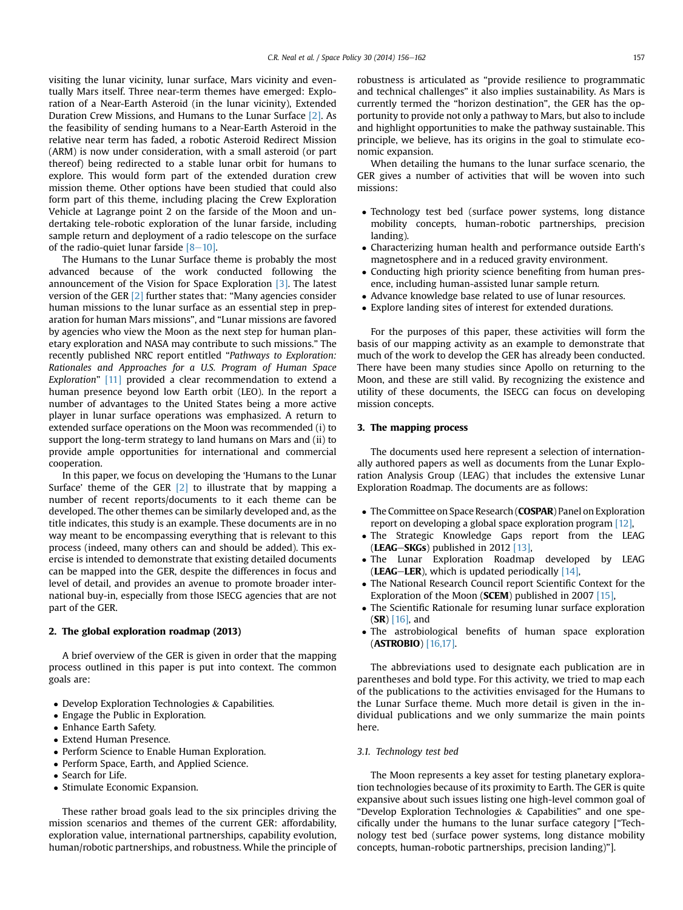visiting the lunar vicinity, lunar surface, Mars vicinity and eventually Mars itself. Three near-term themes have emerged: Exploration of a Near-Earth Asteroid (in the lunar vicinity), Extended Duration Crew Missions, and Humans to the Lunar Surface [\[2\].](#page-6-0) As the feasibility of sending humans to a Near-Earth Asteroid in the relative near term has faded, a robotic Asteroid Redirect Mission (ARM) is now under consideration, with a small asteroid (or part thereof) being redirected to a stable lunar orbit for humans to explore. This would form part of the extended duration crew mission theme. Other options have been studied that could also form part of this theme, including placing the Crew Exploration Vehicle at Lagrange point 2 on the farside of the Moon and undertaking tele-robotic exploration of the lunar farside, including sample return and deployment of a radio telescope on the surface of the radio-quiet lunar farside  $[8-10]$  $[8-10]$  $[8-10]$ .

The Humans to the Lunar Surface theme is probably the most advanced because of the work conducted following the announcement of the Vision for Space Exploration [\[3\]](#page-6-0). The latest version of the GER [\[2\]](#page-6-0) further states that: "Many agencies consider human missions to the lunar surface as an essential step in preparation for human Mars missions", and "Lunar missions are favored by agencies who view the Moon as the next step for human planetary exploration and NASA may contribute to such missions." The recently published NRC report entitled "Pathways to Exploration: Rationales and Approaches for a U.S. Program of Human Space Exploration" [\[11\]](#page-6-0) provided a clear recommendation to extend a human presence beyond low Earth orbit (LEO). In the report a number of advantages to the United States being a more active player in lunar surface operations was emphasized. A return to extended surface operations on the Moon was recommended (i) to support the long-term strategy to land humans on Mars and (ii) to provide ample opportunities for international and commercial cooperation.

In this paper, we focus on developing the 'Humans to the Lunar Surface' theme of the GER [\[2\]](#page-6-0) to illustrate that by mapping a number of recent reports/documents to it each theme can be developed. The other themes can be similarly developed and, as the title indicates, this study is an example. These documents are in no way meant to be encompassing everything that is relevant to this process (indeed, many others can and should be added). This exercise is intended to demonstrate that existing detailed documents can be mapped into the GER, despite the differences in focus and level of detail, and provides an avenue to promote broader international buy-in, especially from those ISECG agencies that are not part of the GER.

# 2. The global exploration roadmap (2013)

A brief overview of the GER is given in order that the mapping process outlined in this paper is put into context. The common goals are:

- Develop Exploration Technologies & Capabilities.
- Engage the Public in Exploration.
- Enhance Earth Safety.
- Extend Human Presence.
- Perform Science to Enable Human Exploration.
- Perform Space, Earth, and Applied Science.
- Search for Life.
- Stimulate Economic Expansion.

These rather broad goals lead to the six principles driving the mission scenarios and themes of the current GER: affordability, exploration value, international partnerships, capability evolution, human/robotic partnerships, and robustness. While the principle of robustness is articulated as "provide resilience to programmatic and technical challenges" it also implies sustainability. As Mars is currently termed the "horizon destination", the GER has the opportunity to provide not only a pathway to Mars, but also to include and highlight opportunities to make the pathway sustainable. This principle, we believe, has its origins in the goal to stimulate economic expansion.

When detailing the humans to the lunar surface scenario, the GER gives a number of activities that will be woven into such missions:

- Technology test bed (surface power systems, long distance mobility concepts, human-robotic partnerships, precision landing).
- Characterizing human health and performance outside Earth's magnetosphere and in a reduced gravity environment.
- Conducting high priority science benefiting from human presence, including human-assisted lunar sample return.
- Advance knowledge base related to use of lunar resources.
- Explore landing sites of interest for extended durations.

For the purposes of this paper, these activities will form the basis of our mapping activity as an example to demonstrate that much of the work to develop the GER has already been conducted. There have been many studies since Apollo on returning to the Moon, and these are still valid. By recognizing the existence and utility of these documents, the ISECG can focus on developing mission concepts.

# 3. The mapping process

The documents used here represent a selection of internationally authored papers as well as documents from the Lunar Exploration Analysis Group (LEAG) that includes the extensive Lunar Exploration Roadmap. The documents are as follows:

- The Committee on Space Research (COSPAR) Panel on Exploration report on developing a global space exploration program [\[12\]](#page-6-0),
- The Strategic Knowledge Gaps report from the LEAG (LEAG-SKGs) published in 2012  $[13]$ ,
- The Lunar Exploration Roadmap developed by LEAG (LEAG-LER), which is updated periodically  $[14]$ ,
- The National Research Council report Scientific Context for the Exploration of the Moon (SCEM) published in 2007 [\[15\]](#page-6-0),
- The Scientific Rationale for resuming lunar surface exploration  $(SR)$  [\[16\]](#page-6-0), and
- The astrobiological benefits of human space exploration (ASTROBIO) [\[16,17\].](#page-6-0)

The abbreviations used to designate each publication are in parentheses and bold type. For this activity, we tried to map each of the publications to the activities envisaged for the Humans to the Lunar Surface theme. Much more detail is given in the individual publications and we only summarize the main points here.

## 3.1. Technology test bed

The Moon represents a key asset for testing planetary exploration technologies because of its proximity to Earth. The GER is quite expansive about such issues listing one high-level common goal of "Develop Exploration Technologies  $&$  Capabilities" and one specifically under the humans to the lunar surface category ["Technology test bed (surface power systems, long distance mobility concepts, human-robotic partnerships, precision landing)"].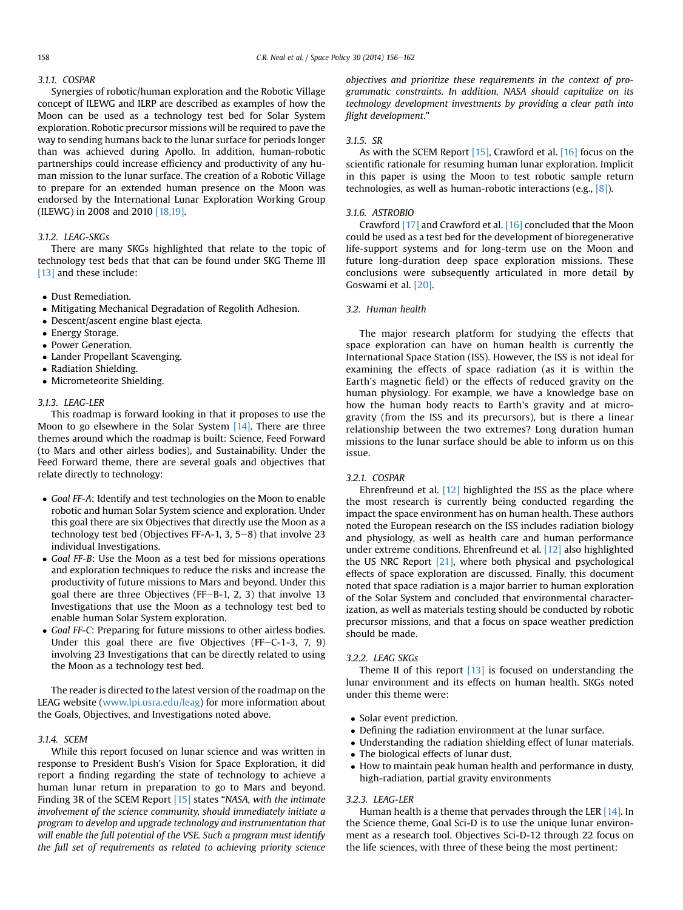## 3.1.1. COSPAR

Synergies of robotic/human exploration and the Robotic Village concept of ILEWG and ILRP are described as examples of how the Moon can be used as a technology test bed for Solar System exploration. Robotic precursor missions will be required to pave the way to sending humans back to the lunar surface for periods longer than was achieved during Apollo. In addition, human-robotic partnerships could increase efficiency and productivity of any human mission to the lunar surface. The creation of a Robotic Village to prepare for an extended human presence on the Moon was endorsed by the International Lunar Exploration Working Group (ILEWG) in 2008 and 2010 [\[18,19\].](#page-6-0)

#### 3.1.2. LEAG-SKGs

There are many SKGs highlighted that relate to the topic of technology test beds that that can be found under SKG Theme III [\[13\]](#page-6-0) and these include:

- Dust Remediation.
- Mitigating Mechanical Degradation of Regolith Adhesion.
- Descent/ascent engine blast ejecta.
- Energy Storage.
- Power Generation.
- Lander Propellant Scavenging.
- Radiation Shielding.
- Micrometeorite Shielding.

#### 3.1.3. LEAG-LER

This roadmap is forward looking in that it proposes to use the Moon to go elsewhere in the Solar System [\[14\]](#page-6-0). There are three themes around which the roadmap is built: Science, Feed Forward (to Mars and other airless bodies), and Sustainability. Under the Feed Forward theme, there are several goals and objectives that relate directly to technology:

- Goal FF-A: Identify and test technologies on the Moon to enable robotic and human Solar System science and exploration. Under this goal there are six Objectives that directly use the Moon as a technology test bed (Objectives FF-A-1, 3,  $5-8$ ) that involve 23 individual Investigations.
- Goal FF-B: Use the Moon as a test bed for missions operations and exploration techniques to reduce the risks and increase the productivity of future missions to Mars and beyond. Under this goal there are three Objectives (FF-B-1, 2, 3) that involve  $13$ Investigations that use the Moon as a technology test bed to enable human Solar System exploration.
- Goal FF-C: Preparing for future missions to other airless bodies. Under this goal there are five Objectives (FF-C-1-3, 7, 9) involving 23 Investigations that can be directly related to using the Moon as a technology test bed.

The reader is directed to the latest version of the roadmap on the LEAG website ([www.lpi.usra.edu/leag](http://www.lpi.usra.edu/leag)) for more information about the Goals, Objectives, and Investigations noted above.

## 3.1.4. SCEM

While this report focused on lunar science and was written in response to President Bush's Vision for Space Exploration, it did report a finding regarding the state of technology to achieve a human lunar return in preparation to go to Mars and beyond. Finding 3R of the SCEM Report [\[15\]](#page-6-0) states "NASA, with the intimate involvement of the science community, should immediately initiate a program to develop and upgrade technology and instrumentation that will enable the full potential of the VSE. Such a program must identify the full set of requirements as related to achieving priority science

objectives and prioritize these requirements in the context of programmatic constraints. In addition, NASA should capitalize on its technology development investments by providing a clear path into flight development."

## 3.1.5. SR

As with the SCEM Report [\[15\],](#page-6-0) Crawford et al. [\[16\]](#page-6-0) focus on the scientific rationale for resuming human lunar exploration. Implicit in this paper is using the Moon to test robotic sample return technologies, as well as human-robotic interactions (e.g., [\[8\]](#page-6-0)).

## 3.1.6. ASTROBIO

Crawford [\[17\]](#page-6-0) and Crawford et al. [\[16\]](#page-6-0) concluded that the Moon could be used as a test bed for the development of bioregenerative life-support systems and for long-term use on the Moon and future long-duration deep space exploration missions. These conclusions were subsequently articulated in more detail by Goswami et al. [\[20\].](#page-6-0)

# 3.2. Human health

The major research platform for studying the effects that space exploration can have on human health is currently the International Space Station (ISS). However, the ISS is not ideal for examining the effects of space radiation (as it is within the Earth's magnetic field) or the effects of reduced gravity on the human physiology. For example, we have a knowledge base on how the human body reacts to Earth's gravity and at microgravity (from the ISS and its precursors), but is there a linear relationship between the two extremes? Long duration human missions to the lunar surface should be able to inform us on this issue.

# 3.2.1. COSPAR

Ehrenfreund et al. [\[12\]](#page-6-0) highlighted the ISS as the place where the most research is currently being conducted regarding the impact the space environment has on human health. These authors noted the European research on the ISS includes radiation biology and physiology, as well as health care and human performance under extreme conditions. Ehrenfreund et al. [\[12\]](#page-6-0) also highlighted the US NRC Report [\[21\]](#page-6-0), where both physical and psychological effects of space exploration are discussed. Finally, this document noted that space radiation is a major barrier to human exploration of the Solar System and concluded that environmental characterization, as well as materials testing should be conducted by robotic precursor missions, and that a focus on space weather prediction should be made.

#### 3.2.2. LEAG SKGs

Theme II of this report [\[13\]](#page-6-0) is focused on understanding the lunar environment and its effects on human health. SKGs noted under this theme were:

- Solar event prediction.
- Defining the radiation environment at the lunar surface.
- Understanding the radiation shielding effect of lunar materials.
- The biological effects of lunar dust.
- How to maintain peak human health and performance in dusty, high-radiation, partial gravity environments

#### 3.2.3. LEAG-LER

Human health is a theme that pervades through the LER [\[14\]](#page-6-0). In the Science theme, Goal Sci-D is to use the unique lunar environment as a research tool. Objectives Sci-D-12 through 22 focus on the life sciences, with three of these being the most pertinent: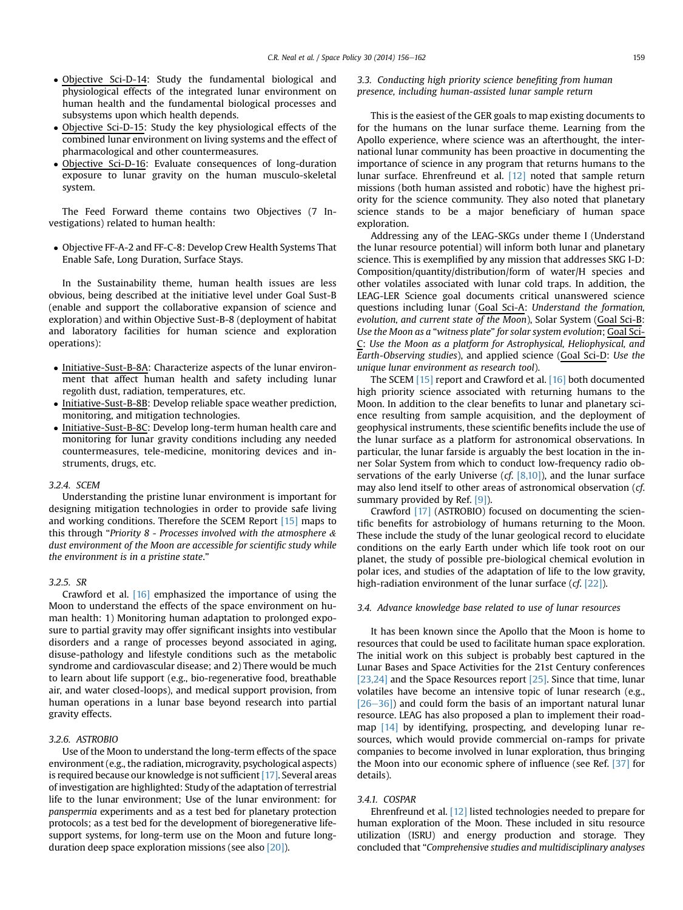- Objective Sci-D-14: Study the fundamental biological and physiological effects of the integrated lunar environment on human health and the fundamental biological processes and subsystems upon which health depends.
- Objective Sci-D-15: Study the key physiological effects of the combined lunar environment on living systems and the effect of pharmacological and other countermeasures.
- Objective Sci-D-16: Evaluate consequences of long-duration exposure to lunar gravity on the human musculo-skeletal system.

The Feed Forward theme contains two Objectives (7 Investigations) related to human health:

 Objective FF-A-2 and FF-C-8: Develop Crew Health Systems That Enable Safe, Long Duration, Surface Stays.

In the Sustainability theme, human health issues are less obvious, being described at the initiative level under Goal Sust-B (enable and support the collaborative expansion of science and exploration) and within Objective Sust-B-8 (deployment of habitat and laboratory facilities for human science and exploration operations):

- Initiative-Sust-B-8A: Characterize aspects of the lunar environment that affect human health and safety including lunar regolith dust, radiation, temperatures, etc.
- Initiative-Sust-B-8B: Develop reliable space weather prediction, monitoring, and mitigation technologies.
- Initiative-Sust-B-8C: Develop long-term human health care and monitoring for lunar gravity conditions including any needed countermeasures, tele-medicine, monitoring devices and instruments, drugs, etc.

#### 3.2.4. SCEM

Understanding the pristine lunar environment is important for designing mitigation technologies in order to provide safe living and working conditions. Therefore the SCEM Report [\[15\]](#page-6-0) maps to this through "Priority 8 - Processes involved with the atmosphere  $\&$ dust environment of the Moon are accessible for scientific study while the environment is in a pristine state."

## 3.2.5. SR

Crawford et al. [\[16\]](#page-6-0) emphasized the importance of using the Moon to understand the effects of the space environment on human health: 1) Monitoring human adaptation to prolonged exposure to partial gravity may offer significant insights into vestibular disorders and a range of processes beyond associated in aging, disuse-pathology and lifestyle conditions such as the metabolic syndrome and cardiovascular disease; and 2) There would be much to learn about life support (e.g., bio-regenerative food, breathable air, and water closed-loops), and medical support provision, from human operations in a lunar base beyond research into partial gravity effects.

## 3.2.6. ASTROBIO

Use of the Moon to understand the long-term effects of the space environment (e.g., the radiation, microgravity, psychological aspects) is required because our knowledge is not sufficient  $[17]$ . Several areas of investigation are highlighted: Study of the adaptation of terrestrial life to the lunar environment; Use of the lunar environment: for panspermia experiments and as a test bed for planetary protection protocols; as a test bed for the development of bioregenerative lifesupport systems, for long-term use on the Moon and future longduration deep space exploration missions (see also [\[20\]\)](#page-6-0).

## 3.3. Conducting high priority science benefiting from human presence, including human-assisted lunar sample return

This is the easiest of the GER goals to map existing documents to for the humans on the lunar surface theme. Learning from the Apollo experience, where science was an afterthought, the international lunar community has been proactive in documenting the importance of science in any program that returns humans to the lunar surface. Ehrenfreund et al. [\[12\]](#page-6-0) noted that sample return missions (both human assisted and robotic) have the highest priority for the science community. They also noted that planetary science stands to be a major beneficiary of human space exploration.

Addressing any of the LEAG-SKGs under theme I (Understand the lunar resource potential) will inform both lunar and planetary science. This is exemplified by any mission that addresses SKG I-D: Composition/quantity/distribution/form of water/H species and other volatiles associated with lunar cold traps. In addition, the LEAG-LER Science goal documents critical unanswered science questions including lunar (Goal Sci-A: Understand the formation, evolution, and current state of the Moon), Solar System (Goal Sci-B: Use the Moon as a "witness plate" for solar system evolution; Goal Sci-C: Use the Moon as a platform for Astrophysical, Heliophysical, and Earth-Observing studies), and applied science (Goal Sci-D: Use the unique lunar environment as research tool).

The SCEM [\[15\]](#page-6-0) report and Crawford et al. [\[16\]](#page-6-0) both documented high priority science associated with returning humans to the Moon. In addition to the clear benefits to lunar and planetary science resulting from sample acquisition, and the deployment of geophysical instruments, these scientific benefits include the use of the lunar surface as a platform for astronomical observations. In particular, the lunar farside is arguably the best location in the inner Solar System from which to conduct low-frequency radio observations of the early Universe ( $cf. [8,10]$ ), and the lunar surface may also lend itself to other areas of astronomical observation (cf. summary provided by Ref. [\[9\]\)](#page-6-0).

Crawford [\[17\]](#page-6-0) (ASTROBIO) focused on documenting the scientific benefits for astrobiology of humans returning to the Moon. These include the study of the lunar geological record to elucidate conditions on the early Earth under which life took root on our planet, the study of possible pre-biological chemical evolution in polar ices, and studies of the adaptation of life to the low gravity, high-radiation environment of the lunar surface (cf. [\[22\]](#page-6-0)).

### 3.4. Advance knowledge base related to use of lunar resources

It has been known since the Apollo that the Moon is home to resources that could be used to facilitate human space exploration. The initial work on this subject is probably best captured in the Lunar Bases and Space Activities for the 21st Century conferences [\[23,24\]](#page-6-0) and the Space Resources report [\[25\].](#page-6-0) Since that time, lunar volatiles have become an intensive topic of lunar research (e.g.,  $[26-36]$  $[26-36]$ ) and could form the basis of an important natural lunar resource. LEAG has also proposed a plan to implement their roadmap [\[14\]](#page-6-0) by identifying, prospecting, and developing lunar resources, which would provide commercial on-ramps for private companies to become involved in lunar exploration, thus bringing the Moon into our economic sphere of influence (see Ref. [\[37\]](#page-6-0) for details).

## 3.4.1. COSPAR

Ehrenfreund et al. [\[12\]](#page-6-0) listed technologies needed to prepare for human exploration of the Moon. These included in situ resource utilization (ISRU) and energy production and storage. They concluded that "Comprehensive studies and multidisciplinary analyses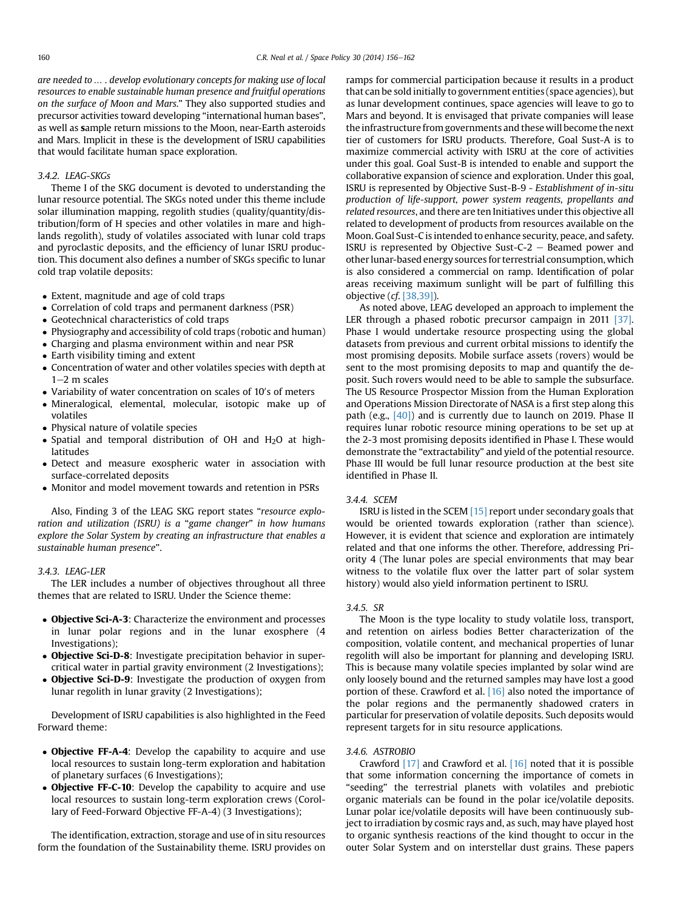are needed to … . develop evolutionary concepts for making use of local resources to enable sustainable human presence and fruitful operations on the surface of Moon and Mars." They also supported studies and precursor activities toward developing "international human bases", as well as sample return missions to the Moon, near-Earth asteroids and Mars. Implicit in these is the development of ISRU capabilities that would facilitate human space exploration.

## 3.4.2. LEAG-SKGs

Theme I of the SKG document is devoted to understanding the lunar resource potential. The SKGs noted under this theme include solar illumination mapping, regolith studies (quality/quantity/distribution/form of H species and other volatiles in mare and highlands regolith), study of volatiles associated with lunar cold traps and pyroclastic deposits, and the efficiency of lunar ISRU production. This document also defines a number of SKGs specific to lunar cold trap volatile deposits:

- Extent, magnitude and age of cold traps
- Correlation of cold traps and permanent darkness (PSR)
- Geotechnical characteristics of cold traps
- Physiography and accessibility of cold traps (robotic and human)
- Charging and plasma environment within and near PSR
- Earth visibility timing and extent
- Concentration of water and other volatiles species with depth at  $1-2$  m scales
- $\bullet$  Variability of water concentration on scales of 10's of meters
- Mineralogical, elemental, molecular, isotopic make up of volatiles
- Physical nature of volatile species
- Spatial and temporal distribution of OH and H2O at highlatitudes
- Detect and measure exospheric water in association with surface-correlated deposits
- Monitor and model movement towards and retention in PSRs

Also, Finding 3 of the LEAG SKG report states "resource exploration and utilization (ISRU) is a "game changer" in how humans explore the Solar System by creating an infrastructure that enables a sustainable human presence".

## 3.4.3. LEAG-LER

The LER includes a number of objectives throughout all three themes that are related to ISRU. Under the Science theme:

- Objective Sci-A-3: Characterize the environment and processes in lunar polar regions and in the lunar exosphere (4 Investigations);
- Objective Sci-D-8: Investigate precipitation behavior in supercritical water in partial gravity environment (2 Investigations);
- Objective Sci-D-9: Investigate the production of oxygen from lunar regolith in lunar gravity (2 Investigations);

Development of ISRU capabilities is also highlighted in the Feed Forward theme:

- Objective FF-A-4: Develop the capability to acquire and use local resources to sustain long-term exploration and habitation of planetary surfaces (6 Investigations);
- Objective FF-C-10: Develop the capability to acquire and use local resources to sustain long-term exploration crews (Corollary of Feed-Forward Objective FF-A-4) (3 Investigations);

The identification, extraction, storage and use of in situ resources form the foundation of the Sustainability theme. ISRU provides on ramps for commercial participation because it results in a product that can be sold initially to government entities (space agencies), but as lunar development continues, space agencies will leave to go to Mars and beyond. It is envisaged that private companies will lease the infrastructure from governments and these will become the next tier of customers for ISRU products. Therefore, Goal Sust-A is to maximize commercial activity with ISRU at the core of activities under this goal. Goal Sust-B is intended to enable and support the collaborative expansion of science and exploration. Under this goal, ISRU is represented by Objective Sust-B-9 - Establishment of in-situ production of life-support, power system reagents, propellants and related resources, and there are ten Initiatives under this objective all related to development of products from resources available on the Moon. Goal Sust-C is intended to enhance security, peace, and safety. ISRU is represented by Objective Sust-C-2  $-$  Beamed power and other lunar-based energy sources for terrestrial consumption, which is also considered a commercial on ramp. Identification of polar areas receiving maximum sunlight will be part of fulfilling this objective (cf. [\[38,39\]\)](#page-6-0).

As noted above, LEAG developed an approach to implement the LER through a phased robotic precursor campaign in 2011 [\[37\].](#page-6-0) Phase I would undertake resource prospecting using the global datasets from previous and current orbital missions to identify the most promising deposits. Mobile surface assets (rovers) would be sent to the most promising deposits to map and quantify the deposit. Such rovers would need to be able to sample the subsurface. The US Resource Prospector Mission from the Human Exploration and Operations Mission Directorate of NASA is a first step along this path (e.g., [\[40\]](#page-6-0)) and is currently due to launch on 2019. Phase II requires lunar robotic resource mining operations to be set up at the 2-3 most promising deposits identified in Phase I. These would demonstrate the "extractability" and yield of the potential resource. Phase III would be full lunar resource production at the best site identified in Phase II.

#### 3.4.4. SCEM

ISRU is listed in the SCEM [\[15\]](#page-6-0) report under secondary goals that would be oriented towards exploration (rather than science). However, it is evident that science and exploration are intimately related and that one informs the other. Therefore, addressing Priority 4 (The lunar poles are special environments that may bear witness to the volatile flux over the latter part of solar system history) would also yield information pertinent to ISRU.

#### 3.4.5. SR

The Moon is the type locality to study volatile loss, transport, and retention on airless bodies Better characterization of the composition, volatile content, and mechanical properties of lunar regolith will also be important for planning and developing ISRU. This is because many volatile species implanted by solar wind are only loosely bound and the returned samples may have lost a good portion of these. Crawford et al. [\[16\]](#page-6-0) also noted the importance of the polar regions and the permanently shadowed craters in particular for preservation of volatile deposits. Such deposits would represent targets for in situ resource applications.

## 3.4.6. ASTROBIO

Crawford [\[17\]](#page-6-0) and Crawford et al. [\[16\]](#page-6-0) noted that it is possible that some information concerning the importance of comets in "seeding" the terrestrial planets with volatiles and prebiotic organic materials can be found in the polar ice/volatile deposits. Lunar polar ice/volatile deposits will have been continuously subject to irradiation by cosmic rays and, as such, may have played host to organic synthesis reactions of the kind thought to occur in the outer Solar System and on interstellar dust grains. These papers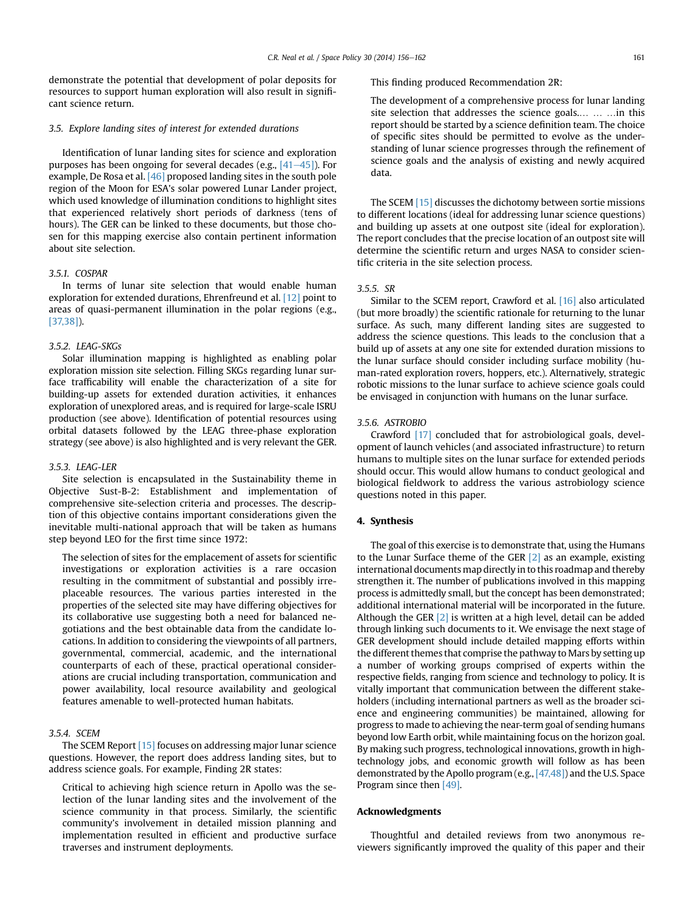demonstrate the potential that development of polar deposits for resources to support human exploration will also result in significant science return.

### 3.5. Explore landing sites of interest for extended durations

Identification of lunar landing sites for science and exploration purposes has been ongoing for several decades (e.g.,  $[41-45]$  $[41-45]$  $[41-45]$ ). For example, De Rosa et al. [\[46\]](#page-6-0) proposed landing sites in the south pole region of the Moon for ESA's solar powered Lunar Lander project, which used knowledge of illumination conditions to highlight sites that experienced relatively short periods of darkness (tens of hours). The GER can be linked to these documents, but those chosen for this mapping exercise also contain pertinent information about site selection.

# 3.5.1. COSPAR

In terms of lunar site selection that would enable human exploration for extended durations, Ehrenfreund et al. [\[12\]](#page-6-0) point to areas of quasi-permanent illumination in the polar regions (e.g., [\[37,38\]](#page-6-0)).

#### 3.5.2. LEAG-SKGs

Solar illumination mapping is highlighted as enabling polar exploration mission site selection. Filling SKGs regarding lunar surface trafficability will enable the characterization of a site for building-up assets for extended duration activities, it enhances exploration of unexplored areas, and is required for large-scale ISRU production (see above). Identification of potential resources using orbital datasets followed by the LEAG three-phase exploration strategy (see above) is also highlighted and is very relevant the GER.

## 3.5.3. LEAG-LER

Site selection is encapsulated in the Sustainability theme in Objective Sust-B-2: Establishment and implementation of comprehensive site-selection criteria and processes. The description of this objective contains important considerations given the inevitable multi-national approach that will be taken as humans step beyond LEO for the first time since 1972:

The selection of sites for the emplacement of assets for scientific investigations or exploration activities is a rare occasion resulting in the commitment of substantial and possibly irreplaceable resources. The various parties interested in the properties of the selected site may have differing objectives for its collaborative use suggesting both a need for balanced negotiations and the best obtainable data from the candidate locations. In addition to considering the viewpoints of all partners, governmental, commercial, academic, and the international counterparts of each of these, practical operational considerations are crucial including transportation, communication and power availability, local resource availability and geological features amenable to well-protected human habitats.

# 3.5.4. SCEM

The SCEM Report [\[15\]](#page-6-0) focuses on addressing major lunar science questions. However, the report does address landing sites, but to address science goals. For example, Finding 2R states:

Critical to achieving high science return in Apollo was the selection of the lunar landing sites and the involvement of the science community in that process. Similarly, the scientific community's involvement in detailed mission planning and implementation resulted in efficient and productive surface traverses and instrument deployments.

This finding produced Recommendation 2R:

The development of a comprehensive process for lunar landing site selection that addresses the science goals.... ... ... in this report should be started by a science definition team. The choice of specific sites should be permitted to evolve as the understanding of lunar science progresses through the refinement of science goals and the analysis of existing and newly acquired data.

The SCEM [\[15\]](#page-6-0) discusses the dichotomy between sortie missions to different locations (ideal for addressing lunar science questions) and building up assets at one outpost site (ideal for exploration). The report concludes that the precise location of an outpost site will determine the scientific return and urges NASA to consider scientific criteria in the site selection process.

# 3.5.5. SR

Similar to the SCEM report, Crawford et al. [\[16\]](#page-6-0) also articulated (but more broadly) the scientific rationale for returning to the lunar surface. As such, many different landing sites are suggested to address the science questions. This leads to the conclusion that a build up of assets at any one site for extended duration missions to the lunar surface should consider including surface mobility (human-rated exploration rovers, hoppers, etc.). Alternatively, strategic robotic missions to the lunar surface to achieve science goals could be envisaged in conjunction with humans on the lunar surface.

# 3.5.6. ASTROBIO

Crawford [\[17\]](#page-6-0) concluded that for astrobiological goals, development of launch vehicles (and associated infrastructure) to return humans to multiple sites on the lunar surface for extended periods should occur. This would allow humans to conduct geological and biological fieldwork to address the various astrobiology science questions noted in this paper.

# 4. Synthesis

The goal of this exercise is to demonstrate that, using the Humans to the Lunar Surface theme of the GER [\[2\]](#page-6-0) as an example, existing international documents map directly in to this roadmap and thereby strengthen it. The number of publications involved in this mapping process is admittedly small, but the concept has been demonstrated; additional international material will be incorporated in the future. Although the GER  $[2]$  is written at a high level, detail can be added through linking such documents to it. We envisage the next stage of GER development should include detailed mapping efforts within the different themes that comprise the pathway to Mars by setting up a number of working groups comprised of experts within the respective fields, ranging from science and technology to policy. It is vitally important that communication between the different stakeholders (including international partners as well as the broader science and engineering communities) be maintained, allowing for progress to made to achieving the near-term goal of sending humans beyond low Earth orbit, while maintaining focus on the horizon goal. By making such progress, technological innovations, growth in hightechnology jobs, and economic growth will follow as has been demonstrated by the Apollo program (e.g.,[\[47,48\]](#page-6-0)) and the U.S. Space Program since then [\[49\].](#page-6-0)

### Acknowledgments

Thoughtful and detailed reviews from two anonymous reviewers significantly improved the quality of this paper and their